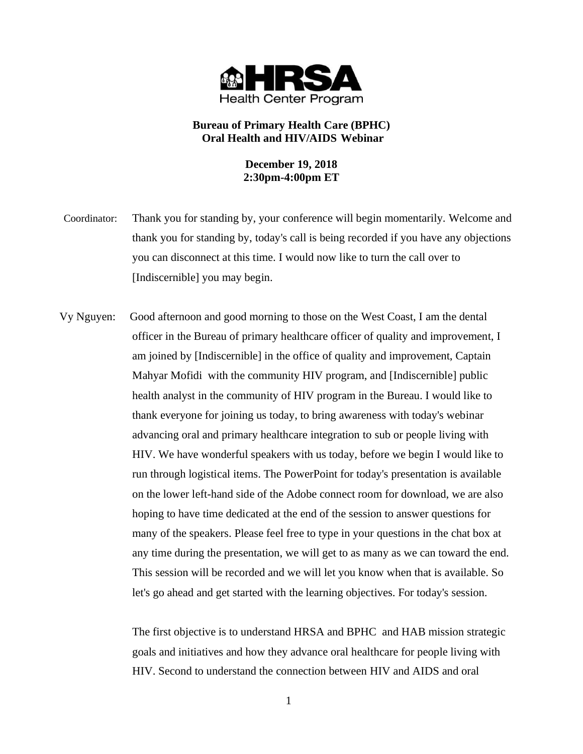

# **Bureau of Primary Health Care (BPHC) Oral Health and HIV/AIDS Webinar**

# **December 19, 2018 2:30pm-4:00pm ET**

Coordinator: Thank you for standing by, your conference will begin momentarily. Welcome and thank you for standing by, today's call is being recorded if you have any objections you can disconnect at this time. I would now like to turn the call over to [Indiscernible] you may begin.

 Vy Nguyen: Good afternoon and good morning to those on the West Coast, I am the dental officer in the Bureau of primary healthcare officer of quality and improvement, I am joined by [Indiscernible] in the office of quality and improvement, Captain Mahyar Mofidi with the community HIV program, and [Indiscernible] public health analyst in the community of HIV program in the Bureau. I would like to thank everyone for joining us today, to bring awareness with today's webinar advancing oral and primary healthcare integration to sub or people living with HIV. We have wonderful speakers with us today, before we begin I would like to run through logistical items. The PowerPoint for today's presentation is available on the lower left-hand side of the Adobe connect room for download, we are also hoping to have time dedicated at the end of the session to answer questions for many of the speakers. Please feel free to type in your questions in the chat box at any time during the presentation, we will get to as many as we can toward the end. This session will be recorded and we will let you know when that is available. So let's go ahead and get started with the learning objectives. For today's session.

> The first objective is to understand HRSA and BPHC and HAB mission strategic goals and initiatives and how they advance oral healthcare for people living with HIV. Second to understand the connection between HIV and AIDS and oral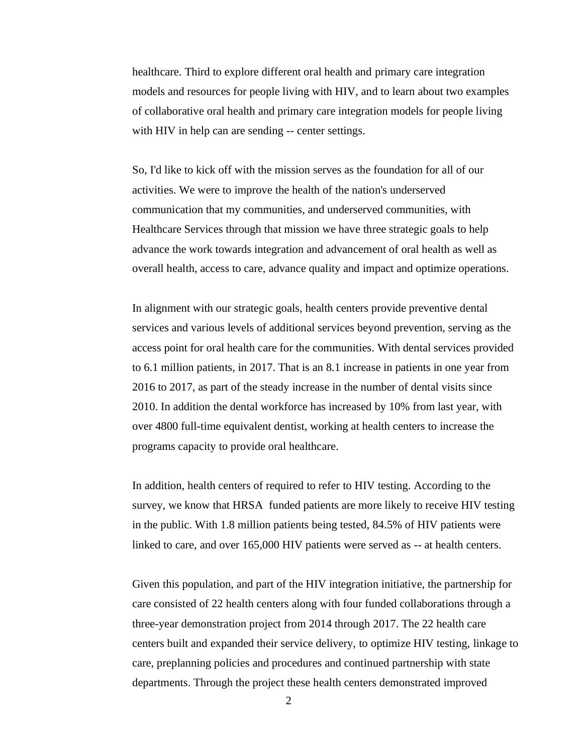healthcare. Third to explore different oral health and primary care integration models and resources for people living with HIV, and to learn about two examples of collaborative oral health and primary care integration models for people living with HIV in help can are sending -- center settings.

So, I'd like to kick off with the mission serves as the foundation for all of our activities. We were to improve the health of the nation's underserved communication that my communities, and underserved communities, with Healthcare Services through that mission we have three strategic goals to help advance the work towards integration and advancement of oral health as well as overall health, access to care, advance quality and impact and optimize operations.

In alignment with our strategic goals, health centers provide preventive dental services and various levels of additional services beyond prevention, serving as the access point for oral health care for the communities. With dental services provided to 6.1 million patients, in 2017. That is an 8.1 increase in patients in one year from 2016 to 2017, as part of the steady increase in the number of dental visits since 2010. In addition the dental workforce has increased by 10% from last year, with over 4800 full-time equivalent dentist, working at health centers to increase the programs capacity to provide oral healthcare.

In addition, health centers of required to refer to HIV testing. According to the survey, we know that HRSA funded patients are more likely to receive HIV testing in the public. With 1.8 million patients being tested, 84.5% of HIV patients were linked to care, and over 165,000 HIV patients were served as -- at health centers.

Given this population, and part of the HIV integration initiative, the partnership for care consisted of 22 health centers along with four funded collaborations through a three-year demonstration project from 2014 through 2017. The 22 health care centers built and expanded their service delivery, to optimize HIV testing, linkage to care, preplanning policies and procedures and continued partnership with state departments. Through the project these health centers demonstrated improved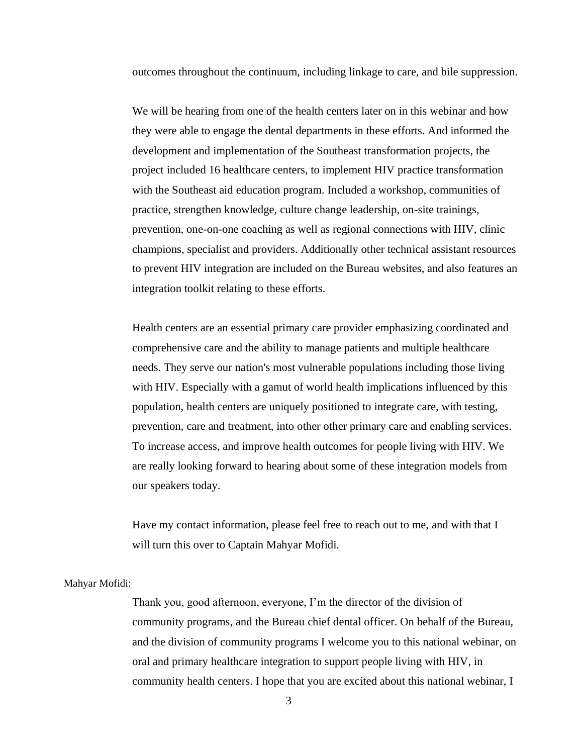outcomes throughout the continuum, including linkage to care, and bile suppression.

We will be hearing from one of the health centers later on in this webinar and how they were able to engage the dental departments in these efforts. And informed the development and implementation of the Southeast transformation projects, the project included 16 healthcare centers, to implement HIV practice transformation with the Southeast aid education program. Included a workshop, communities of practice, strengthen knowledge, culture change leadership, on-site trainings, prevention, one-on-one coaching as well as regional connections with HIV, clinic champions, specialist and providers. Additionally other technical assistant resources to prevent HIV integration are included on the Bureau websites, and also features an integration toolkit relating to these efforts.

Health centers are an essential primary care provider emphasizing coordinated and comprehensive care and the ability to manage patients and multiple healthcare needs. They serve our nation's most vulnerable populations including those living with HIV. Especially with a gamut of world health implications influenced by this population, health centers are uniquely positioned to integrate care, with testing, prevention, care and treatment, into other other primary care and enabling services. To increase access, and improve health outcomes for people living with HIV. We are really looking forward to hearing about some of these integration models from our speakers today.

Have my contact information, please feel free to reach out to me, and with that I will turn this over to Captain Mahyar Mofidi.

## Mahyar Mofidi:

Thank you, good afternoon, everyone, I'm the director of the division of community programs, and the Bureau chief dental officer. On behalf of the Bureau, and the division of community programs I welcome you to this national webinar, on oral and primary healthcare integration to support people living with HIV, in community health centers. I hope that you are excited about this national webinar, I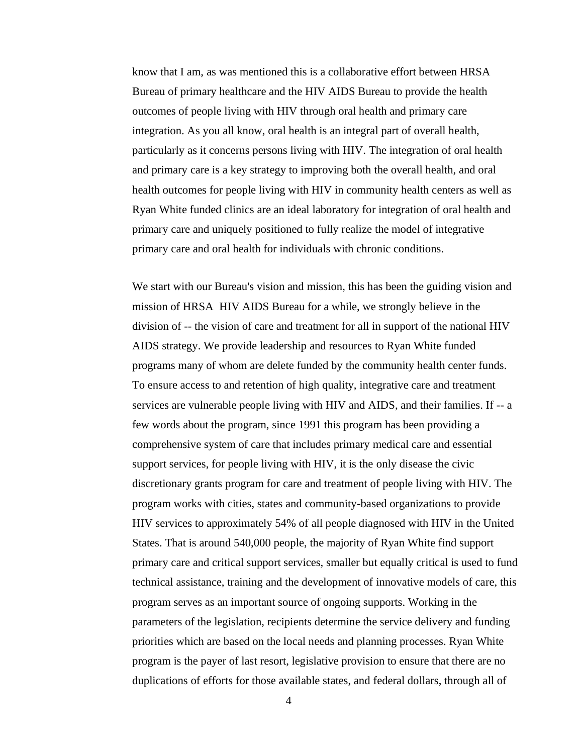know that I am, as was mentioned this is a collaborative effort between HRSA Bureau of primary healthcare and the HIV AIDS Bureau to provide the health outcomes of people living with HIV through oral health and primary care integration. As you all know, oral health is an integral part of overall health, particularly as it concerns persons living with HIV. The integration of oral health and primary care is a key strategy to improving both the overall health, and oral health outcomes for people living with HIV in community health centers as well as Ryan White funded clinics are an ideal laboratory for integration of oral health and primary care and uniquely positioned to fully realize the model of integrative primary care and oral health for individuals with chronic conditions.

We start with our Bureau's vision and mission, this has been the guiding vision and mission of HRSA HIV AIDS Bureau for a while, we strongly believe in the division of -- the vision of care and treatment for all in support of the national HIV AIDS strategy. We provide leadership and resources to Ryan White funded programs many of whom are delete funded by the community health center funds. To ensure access to and retention of high quality, integrative care and treatment services are vulnerable people living with HIV and AIDS, and their families. If -- a few words about the program, since 1991 this program has been providing a comprehensive system of care that includes primary medical care and essential support services, for people living with HIV, it is the only disease the civic discretionary grants program for care and treatment of people living with HIV. The program works with cities, states and community-based organizations to provide HIV services to approximately 54% of all people diagnosed with HIV in the United States. That is around 540,000 people, the majority of Ryan White find support primary care and critical support services, smaller but equally critical is used to fund technical assistance, training and the development of innovative models of care, this program serves as an important source of ongoing supports. Working in the parameters of the legislation, recipients determine the service delivery and funding priorities which are based on the local needs and planning processes. Ryan White program is the payer of last resort, legislative provision to ensure that there are no duplications of efforts for those available states, and federal dollars, through all of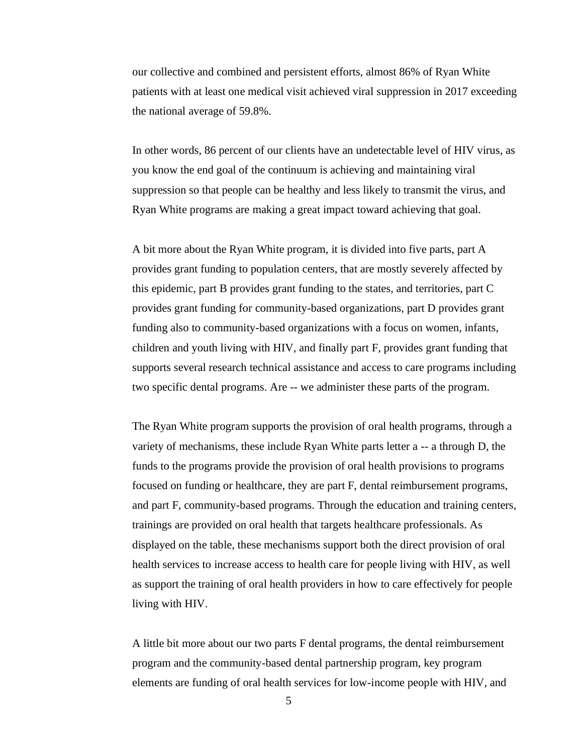our collective and combined and persistent efforts, almost 86% of Ryan White patients with at least one medical visit achieved viral suppression in 2017 exceeding the national average of 59.8%.

In other words, 86 percent of our clients have an undetectable level of HIV virus, as you know the end goal of the continuum is achieving and maintaining viral suppression so that people can be healthy and less likely to transmit the virus, and Ryan White programs are making a great impact toward achieving that goal.

A bit more about the Ryan White program, it is divided into five parts, part A provides grant funding to population centers, that are mostly severely affected by this epidemic, part B provides grant funding to the states, and territories, part C provides grant funding for community-based organizations, part D provides grant funding also to community-based organizations with a focus on women, infants, children and youth living with HIV, and finally part F, provides grant funding that supports several research technical assistance and access to care programs including two specific dental programs. Are -- we administer these parts of the program.

The Ryan White program supports the provision of oral health programs, through a variety of mechanisms, these include Ryan White parts letter a -- a through D, the funds to the programs provide the provision of oral health provisions to programs focused on funding or healthcare, they are part F, dental reimbursement programs, and part F, community-based programs. Through the education and training centers, trainings are provided on oral health that targets healthcare professionals. As displayed on the table, these mechanisms support both the direct provision of oral health services to increase access to health care for people living with HIV, as well as support the training of oral health providers in how to care effectively for people living with HIV.

A little bit more about our two parts F dental programs, the dental reimbursement program and the community-based dental partnership program, key program elements are funding of oral health services for low-income people with HIV, and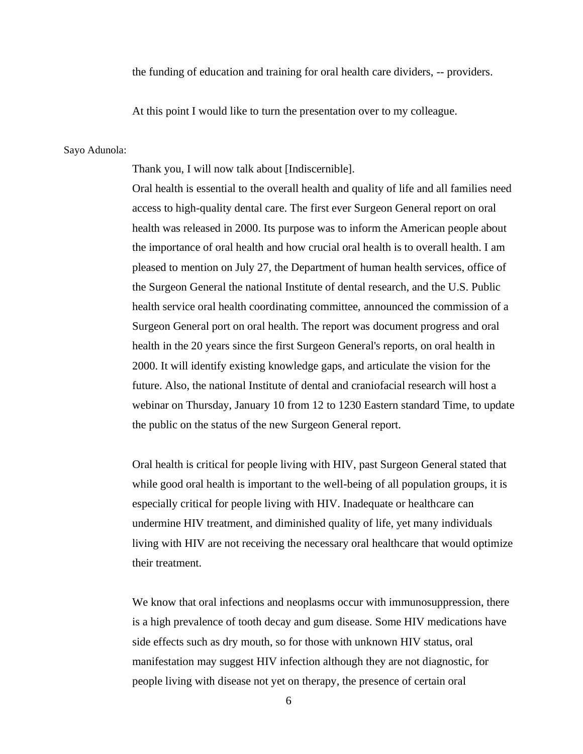the funding of education and training for oral health care dividers, -- providers.

At this point I would like to turn the presentation over to my colleague.

#### Sayo Adunola:

Thank you, I will now talk about [Indiscernible].

Oral health is essential to the overall health and quality of life and all families need access to high-quality dental care. The first ever Surgeon General report on oral health was released in 2000. Its purpose was to inform the American people about the importance of oral health and how crucial oral health is to overall health. I am pleased to mention on July 27, the Department of human health services, office of the Surgeon General the national Institute of dental research, and the U.S. Public health service oral health coordinating committee, announced the commission of a Surgeon General port on oral health. The report was document progress and oral health in the 20 years since the first Surgeon General's reports, on oral health in 2000. It will identify existing knowledge gaps, and articulate the vision for the future. Also, the national Institute of dental and craniofacial research will host a webinar on Thursday, January 10 from 12 to 1230 Eastern standard Time, to update the public on the status of the new Surgeon General report.

Oral health is critical for people living with HIV, past Surgeon General stated that while good oral health is important to the well-being of all population groups, it is especially critical for people living with HIV. Inadequate or healthcare can undermine HIV treatment, and diminished quality of life, yet many individuals living with HIV are not receiving the necessary oral healthcare that would optimize their treatment.

We know that oral infections and neoplasms occur with immunosuppression, there is a high prevalence of tooth decay and gum disease. Some HIV medications have side effects such as dry mouth, so for those with unknown HIV status, oral manifestation may suggest HIV infection although they are not diagnostic, for people living with disease not yet on therapy, the presence of certain oral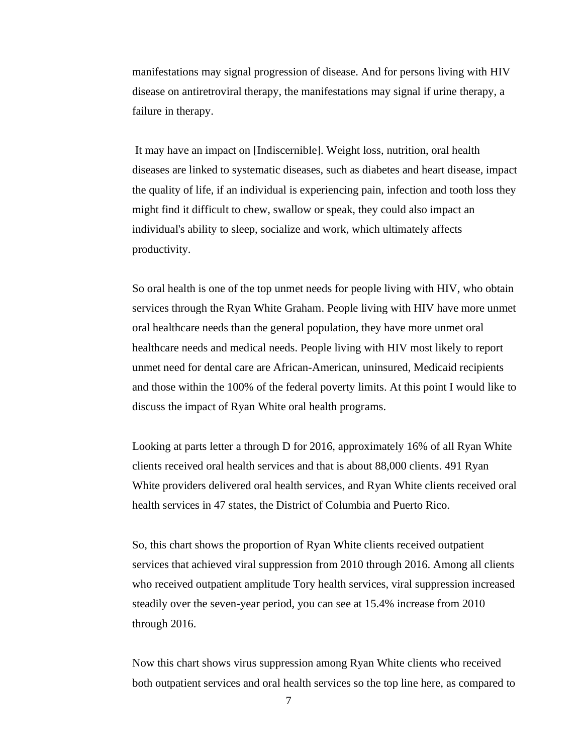manifestations may signal progression of disease. And for persons living with HIV disease on antiretroviral therapy, the manifestations may signal if urine therapy, a failure in therapy.

It may have an impact on [Indiscernible]. Weight loss, nutrition, oral health diseases are linked to systematic diseases, such as diabetes and heart disease, impact the quality of life, if an individual is experiencing pain, infection and tooth loss they might find it difficult to chew, swallow or speak, they could also impact an individual's ability to sleep, socialize and work, which ultimately affects productivity.

So oral health is one of the top unmet needs for people living with HIV, who obtain services through the Ryan White Graham. People living with HIV have more unmet oral healthcare needs than the general population, they have more unmet oral healthcare needs and medical needs. People living with HIV most likely to report unmet need for dental care are African-American, uninsured, Medicaid recipients and those within the 100% of the federal poverty limits. At this point I would like to discuss the impact of Ryan White oral health programs.

Looking at parts letter a through D for 2016, approximately 16% of all Ryan White clients received oral health services and that is about 88,000 clients. 491 Ryan White providers delivered oral health services, and Ryan White clients received oral health services in 47 states, the District of Columbia and Puerto Rico.

So, this chart shows the proportion of Ryan White clients received outpatient services that achieved viral suppression from 2010 through 2016. Among all clients who received outpatient amplitude Tory health services, viral suppression increased steadily over the seven-year period, you can see at 15.4% increase from 2010 through 2016.

Now this chart shows virus suppression among Ryan White clients who received both outpatient services and oral health services so the top line here, as compared to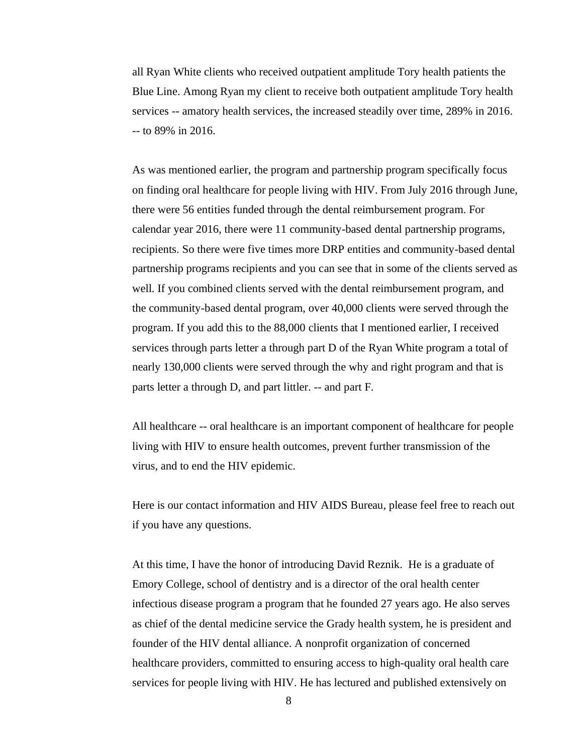all Ryan White clients who received outpatient amplitude Tory health patients the Blue Line. Among Ryan my client to receive both outpatient amplitude Tory health services -- amatory health services, the increased steadily over time, 289% in 2016. -- to 89% in 2016.

As was mentioned earlier, the program and partnership program specifically focus on finding oral healthcare for people living with HIV. From July 2016 through June, there were 56 entities funded through the dental reimbursement program. For calendar year 2016, there were 11 community-based dental partnership programs, recipients. So there were five times more DRP entities and community-based dental partnership programs recipients and you can see that in some of the clients served as well. If you combined clients served with the dental reimbursement program, and the community-based dental program, over 40,000 clients were served through the program. If you add this to the 88,000 clients that I mentioned earlier, I received services through parts letter a through part D of the Ryan White program a total of nearly 130,000 clients were served through the why and right program and that is parts letter a through D, and part littler. -- and part F.

All healthcare -- oral healthcare is an important component of healthcare for people living with HIV to ensure health outcomes, prevent further transmission of the virus, and to end the HIV epidemic.

Here is our contact information and HIV AIDS Bureau, please feel free to reach out if you have any questions.

At this time, I have the honor of introducing David Reznik. He is a graduate of Emory College, school of dentistry and is a director of the oral health center infectious disease program a program that he founded 27 years ago. He also serves as chief of the dental medicine service the Grady health system, he is president and founder of the HIV dental alliance. A nonprofit organization of concerned healthcare providers, committed to ensuring access to high-quality oral health care services for people living with HIV. He has lectured and published extensively on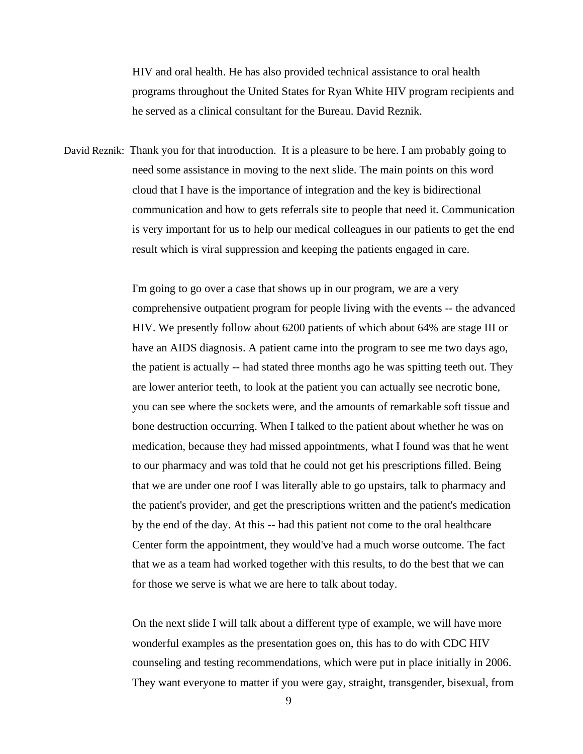HIV and oral health. He has also provided technical assistance to oral health programs throughout the United States for Ryan White HIV program recipients and he served as a clinical consultant for the Bureau. David Reznik.

David Reznik: Thank you for that introduction. It is a pleasure to be here. I am probably going to need some assistance in moving to the next slide. The main points on this word cloud that I have is the importance of integration and the key is bidirectional communication and how to gets referrals site to people that need it. Communication is very important for us to help our medical colleagues in our patients to get the end result which is viral suppression and keeping the patients engaged in care.

> I'm going to go over a case that shows up in our program, we are a very comprehensive outpatient program for people living with the events -- the advanced HIV. We presently follow about 6200 patients of which about 64% are stage III or have an AIDS diagnosis. A patient came into the program to see me two days ago, the patient is actually -- had stated three months ago he was spitting teeth out. They are lower anterior teeth, to look at the patient you can actually see necrotic bone, you can see where the sockets were, and the amounts of remarkable soft tissue and bone destruction occurring. When I talked to the patient about whether he was on medication, because they had missed appointments, what I found was that he went to our pharmacy and was told that he could not get his prescriptions filled. Being that we are under one roof I was literally able to go upstairs, talk to pharmacy and the patient's provider, and get the prescriptions written and the patient's medication by the end of the day. At this -- had this patient not come to the oral healthcare Center form the appointment, they would've had a much worse outcome. The fact that we as a team had worked together with this results, to do the best that we can for those we serve is what we are here to talk about today.

> On the next slide I will talk about a different type of example, we will have more wonderful examples as the presentation goes on, this has to do with CDC HIV counseling and testing recommendations, which were put in place initially in 2006. They want everyone to matter if you were gay, straight, transgender, bisexual, from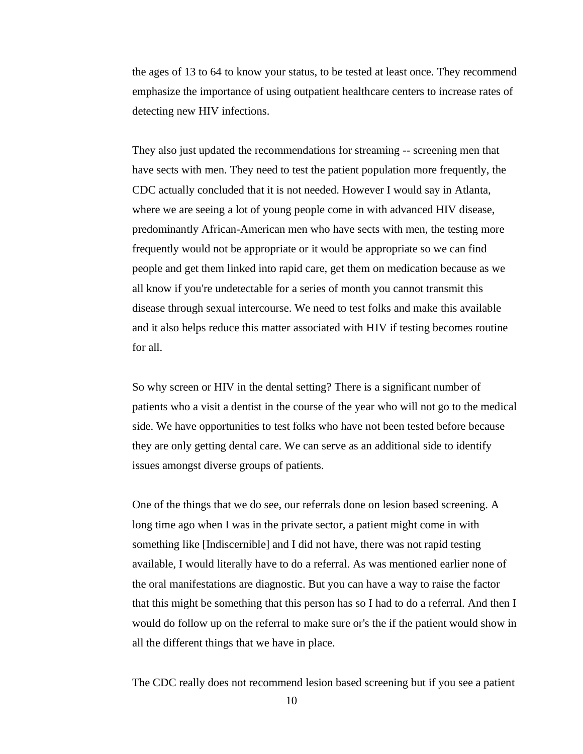the ages of 13 to 64 to know your status, to be tested at least once. They recommend emphasize the importance of using outpatient healthcare centers to increase rates of detecting new HIV infections.

They also just updated the recommendations for streaming -- screening men that have sects with men. They need to test the patient population more frequently, the CDC actually concluded that it is not needed. However I would say in Atlanta, where we are seeing a lot of young people come in with advanced HIV disease, predominantly African-American men who have sects with men, the testing more frequently would not be appropriate or it would be appropriate so we can find people and get them linked into rapid care, get them on medication because as we all know if you're undetectable for a series of month you cannot transmit this disease through sexual intercourse. We need to test folks and make this available and it also helps reduce this matter associated with HIV if testing becomes routine for all.

So why screen or HIV in the dental setting? There is a significant number of patients who a visit a dentist in the course of the year who will not go to the medical side. We have opportunities to test folks who have not been tested before because they are only getting dental care. We can serve as an additional side to identify issues amongst diverse groups of patients.

One of the things that we do see, our referrals done on lesion based screening. A long time ago when I was in the private sector, a patient might come in with something like [Indiscernible] and I did not have, there was not rapid testing available, I would literally have to do a referral. As was mentioned earlier none of the oral manifestations are diagnostic. But you can have a way to raise the factor that this might be something that this person has so I had to do a referral. And then I would do follow up on the referral to make sure or's the if the patient would show in all the different things that we have in place.

The CDC really does not recommend lesion based screening but if you see a patient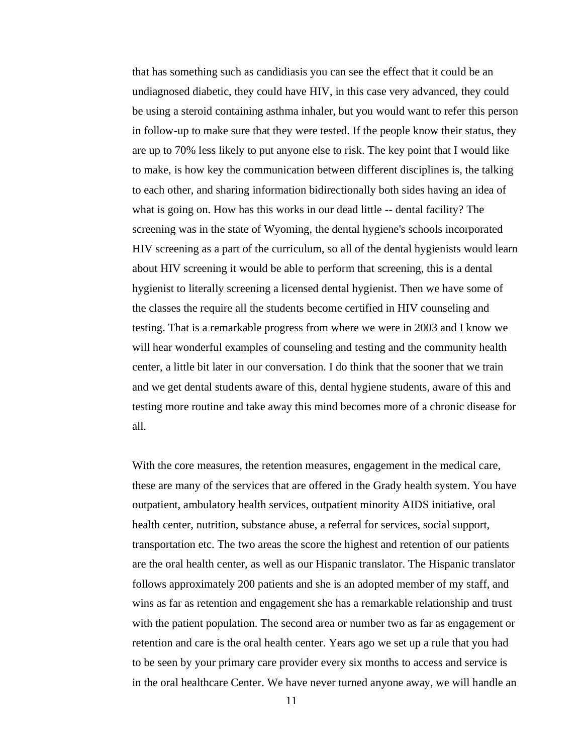that has something such as candidiasis you can see the effect that it could be an undiagnosed diabetic, they could have HIV, in this case very advanced, they could be using a steroid containing asthma inhaler, but you would want to refer this person in follow-up to make sure that they were tested. If the people know their status, they are up to 70% less likely to put anyone else to risk. The key point that I would like to make, is how key the communication between different disciplines is, the talking to each other, and sharing information bidirectionally both sides having an idea of what is going on. How has this works in our dead little -- dental facility? The screening was in the state of Wyoming, the dental hygiene's schools incorporated HIV screening as a part of the curriculum, so all of the dental hygienists would learn about HIV screening it would be able to perform that screening, this is a dental hygienist to literally screening a licensed dental hygienist. Then we have some of the classes the require all the students become certified in HIV counseling and testing. That is a remarkable progress from where we were in 2003 and I know we will hear wonderful examples of counseling and testing and the community health center, a little bit later in our conversation. I do think that the sooner that we train and we get dental students aware of this, dental hygiene students, aware of this and testing more routine and take away this mind becomes more of a chronic disease for all.

With the core measures, the retention measures, engagement in the medical care, these are many of the services that are offered in the Grady health system. You have outpatient, ambulatory health services, outpatient minority AIDS initiative, oral health center, nutrition, substance abuse, a referral for services, social support, transportation etc. The two areas the score the highest and retention of our patients are the oral health center, as well as our Hispanic translator. The Hispanic translator follows approximately 200 patients and she is an adopted member of my staff, and wins as far as retention and engagement she has a remarkable relationship and trust with the patient population. The second area or number two as far as engagement or retention and care is the oral health center. Years ago we set up a rule that you had to be seen by your primary care provider every six months to access and service is in the oral healthcare Center. We have never turned anyone away, we will handle an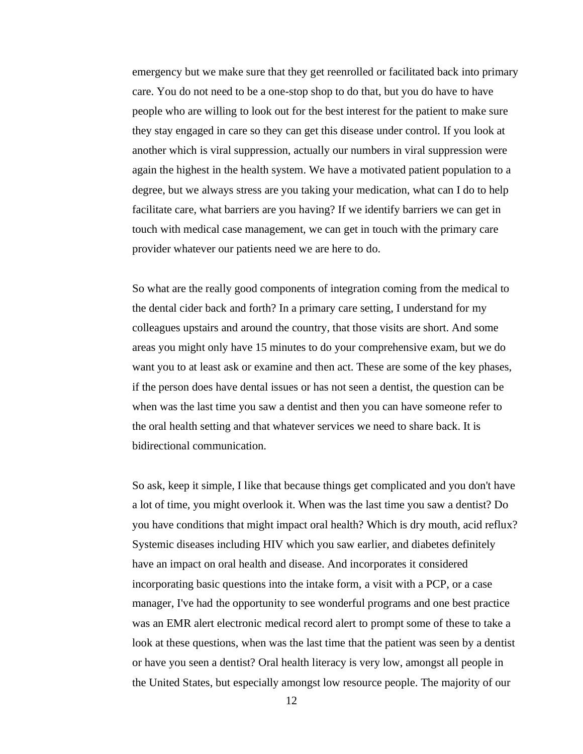emergency but we make sure that they get reenrolled or facilitated back into primary care. You do not need to be a one-stop shop to do that, but you do have to have people who are willing to look out for the best interest for the patient to make sure they stay engaged in care so they can get this disease under control. If you look at another which is viral suppression, actually our numbers in viral suppression were again the highest in the health system. We have a motivated patient population to a degree, but we always stress are you taking your medication, what can I do to help facilitate care, what barriers are you having? If we identify barriers we can get in touch with medical case management, we can get in touch with the primary care provider whatever our patients need we are here to do.

So what are the really good components of integration coming from the medical to the dental cider back and forth? In a primary care setting, I understand for my colleagues upstairs and around the country, that those visits are short. And some areas you might only have 15 minutes to do your comprehensive exam, but we do want you to at least ask or examine and then act. These are some of the key phases, if the person does have dental issues or has not seen a dentist, the question can be when was the last time you saw a dentist and then you can have someone refer to the oral health setting and that whatever services we need to share back. It is bidirectional communication.

So ask, keep it simple, I like that because things get complicated and you don't have a lot of time, you might overlook it. When was the last time you saw a dentist? Do you have conditions that might impact oral health? Which is dry mouth, acid reflux? Systemic diseases including HIV which you saw earlier, and diabetes definitely have an impact on oral health and disease. And incorporates it considered incorporating basic questions into the intake form, a visit with a PCP, or a case manager, I've had the opportunity to see wonderful programs and one best practice was an EMR alert electronic medical record alert to prompt some of these to take a look at these questions, when was the last time that the patient was seen by a dentist or have you seen a dentist? Oral health literacy is very low, amongst all people in the United States, but especially amongst low resource people. The majority of our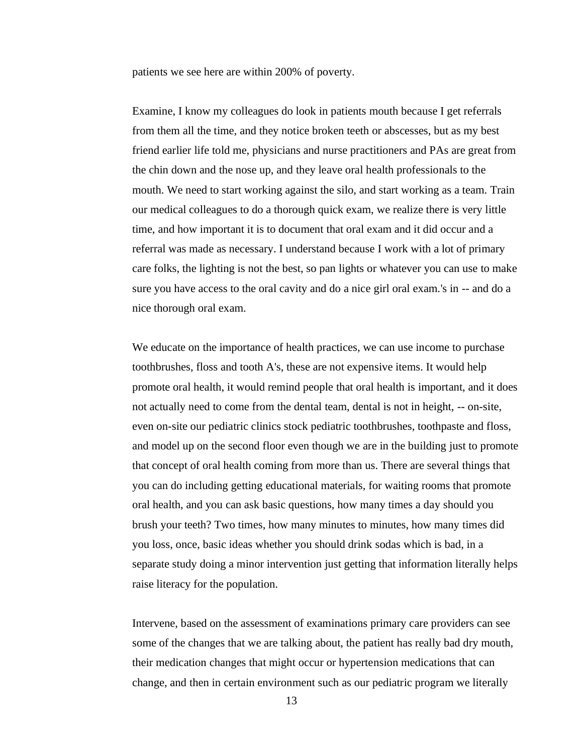patients we see here are within 200% of poverty.

Examine, I know my colleagues do look in patients mouth because I get referrals from them all the time, and they notice broken teeth or abscesses, but as my best friend earlier life told me, physicians and nurse practitioners and PAs are great from the chin down and the nose up, and they leave oral health professionals to the mouth. We need to start working against the silo, and start working as a team. Train our medical colleagues to do a thorough quick exam, we realize there is very little time, and how important it is to document that oral exam and it did occur and a referral was made as necessary. I understand because I work with a lot of primary care folks, the lighting is not the best, so pan lights or whatever you can use to make sure you have access to the oral cavity and do a nice girl oral exam.'s in -- and do a nice thorough oral exam.

We educate on the importance of health practices, we can use income to purchase toothbrushes, floss and tooth A's, these are not expensive items. It would help promote oral health, it would remind people that oral health is important, and it does not actually need to come from the dental team, dental is not in height, -- on-site, even on-site our pediatric clinics stock pediatric toothbrushes, toothpaste and floss, and model up on the second floor even though we are in the building just to promote that concept of oral health coming from more than us. There are several things that you can do including getting educational materials, for waiting rooms that promote oral health, and you can ask basic questions, how many times a day should you brush your teeth? Two times, how many minutes to minutes, how many times did you loss, once, basic ideas whether you should drink sodas which is bad, in a separate study doing a minor intervention just getting that information literally helps raise literacy for the population.

Intervene, based on the assessment of examinations primary care providers can see some of the changes that we are talking about, the patient has really bad dry mouth, their medication changes that might occur or hypertension medications that can change, and then in certain environment such as our pediatric program we literally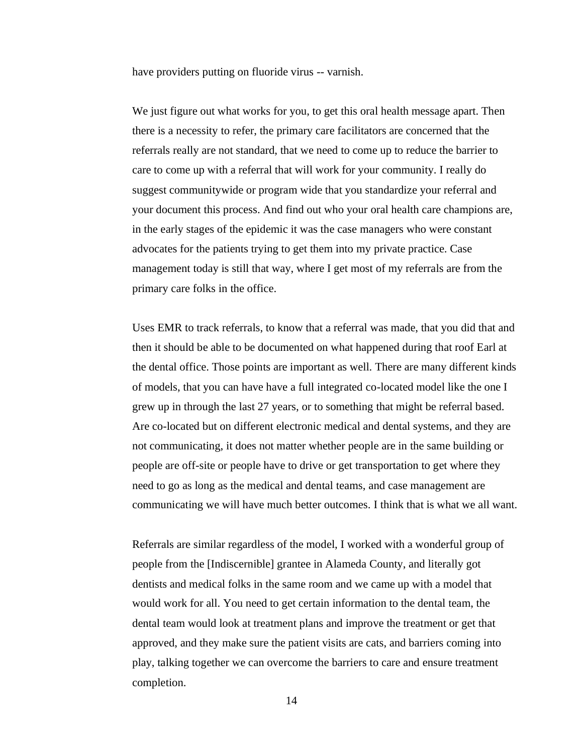have providers putting on fluoride virus -- varnish.

We just figure out what works for you, to get this oral health message apart. Then there is a necessity to refer, the primary care facilitators are concerned that the referrals really are not standard, that we need to come up to reduce the barrier to care to come up with a referral that will work for your community. I really do suggest communitywide or program wide that you standardize your referral and your document this process. And find out who your oral health care champions are, in the early stages of the epidemic it was the case managers who were constant advocates for the patients trying to get them into my private practice. Case management today is still that way, where I get most of my referrals are from the primary care folks in the office.

Uses EMR to track referrals, to know that a referral was made, that you did that and then it should be able to be documented on what happened during that roof Earl at the dental office. Those points are important as well. There are many different kinds of models, that you can have have a full integrated co-located model like the one I grew up in through the last 27 years, or to something that might be referral based. Are co-located but on different electronic medical and dental systems, and they are not communicating, it does not matter whether people are in the same building or people are off-site or people have to drive or get transportation to get where they need to go as long as the medical and dental teams, and case management are communicating we will have much better outcomes. I think that is what we all want.

Referrals are similar regardless of the model, I worked with a wonderful group of people from the [Indiscernible] grantee in Alameda County, and literally got dentists and medical folks in the same room and we came up with a model that would work for all. You need to get certain information to the dental team, the dental team would look at treatment plans and improve the treatment or get that approved, and they make sure the patient visits are cats, and barriers coming into play, talking together we can overcome the barriers to care and ensure treatment completion.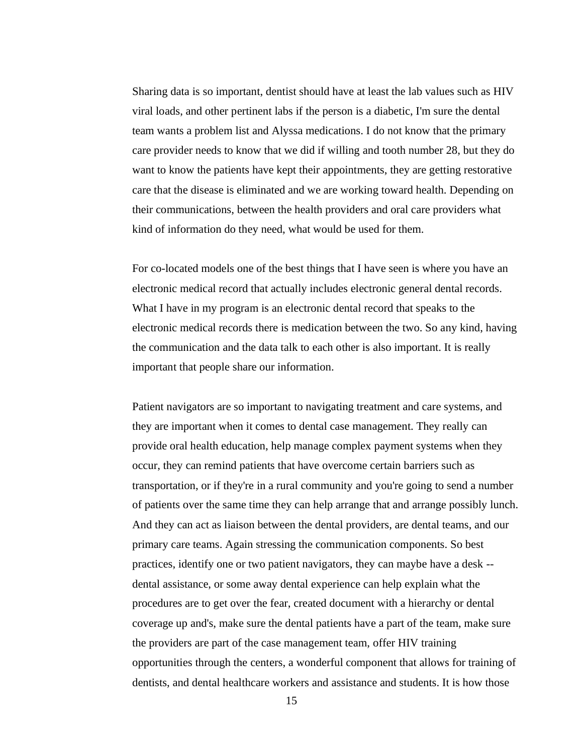Sharing data is so important, dentist should have at least the lab values such as HIV viral loads, and other pertinent labs if the person is a diabetic, I'm sure the dental team wants a problem list and Alyssa medications. I do not know that the primary care provider needs to know that we did if willing and tooth number 28, but they do want to know the patients have kept their appointments, they are getting restorative care that the disease is eliminated and we are working toward health. Depending on their communications, between the health providers and oral care providers what kind of information do they need, what would be used for them.

For co-located models one of the best things that I have seen is where you have an electronic medical record that actually includes electronic general dental records. What I have in my program is an electronic dental record that speaks to the electronic medical records there is medication between the two. So any kind, having the communication and the data talk to each other is also important. It is really important that people share our information.

Patient navigators are so important to navigating treatment and care systems, and they are important when it comes to dental case management. They really can provide oral health education, help manage complex payment systems when they occur, they can remind patients that have overcome certain barriers such as transportation, or if they're in a rural community and you're going to send a number of patients over the same time they can help arrange that and arrange possibly lunch. And they can act as liaison between the dental providers, are dental teams, and our primary care teams. Again stressing the communication components. So best practices, identify one or two patient navigators, they can maybe have a desk - dental assistance, or some away dental experience can help explain what the procedures are to get over the fear, created document with a hierarchy or dental coverage up and's, make sure the dental patients have a part of the team, make sure the providers are part of the case management team, offer HIV training opportunities through the centers, a wonderful component that allows for training of dentists, and dental healthcare workers and assistance and students. It is how those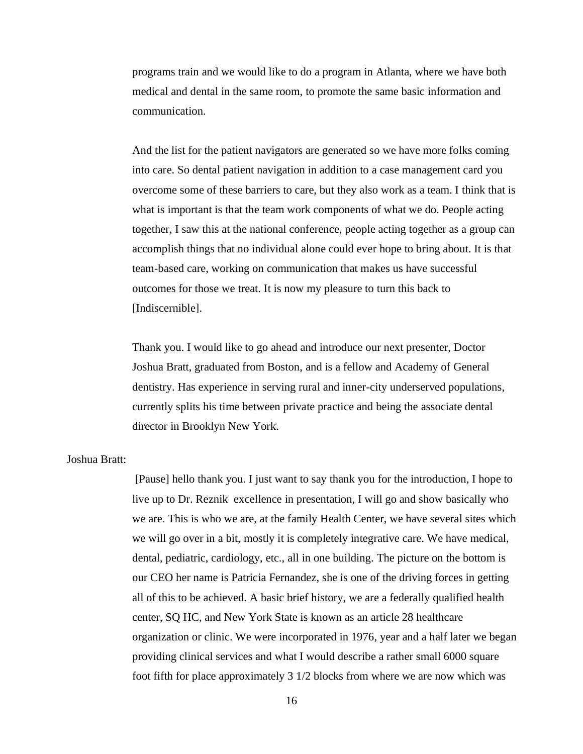programs train and we would like to do a program in Atlanta, where we have both medical and dental in the same room, to promote the same basic information and communication.

And the list for the patient navigators are generated so we have more folks coming into care. So dental patient navigation in addition to a case management card you overcome some of these barriers to care, but they also work as a team. I think that is what is important is that the team work components of what we do. People acting together, I saw this at the national conference, people acting together as a group can accomplish things that no individual alone could ever hope to bring about. It is that team-based care, working on communication that makes us have successful outcomes for those we treat. It is now my pleasure to turn this back to [Indiscernible].

Thank you. I would like to go ahead and introduce our next presenter, Doctor Joshua Bratt, graduated from Boston, and is a fellow and Academy of General dentistry. Has experience in serving rural and inner-city underserved populations, currently splits his time between private practice and being the associate dental director in Brooklyn New York.

# Joshua Bratt:

[Pause] hello thank you. I just want to say thank you for the introduction, I hope to live up to Dr. Reznik excellence in presentation, I will go and show basically who we are. This is who we are, at the family Health Center, we have several sites which we will go over in a bit, mostly it is completely integrative care. We have medical, dental, pediatric, cardiology, etc., all in one building. The picture on the bottom is our CEO her name is Patricia Fernandez, she is one of the driving forces in getting all of this to be achieved. A basic brief history, we are a federally qualified health center, SQ HC, and New York State is known as an article 28 healthcare organization or clinic. We were incorporated in 1976, year and a half later we began providing clinical services and what I would describe a rather small 6000 square foot fifth for place approximately 3 1/2 blocks from where we are now which was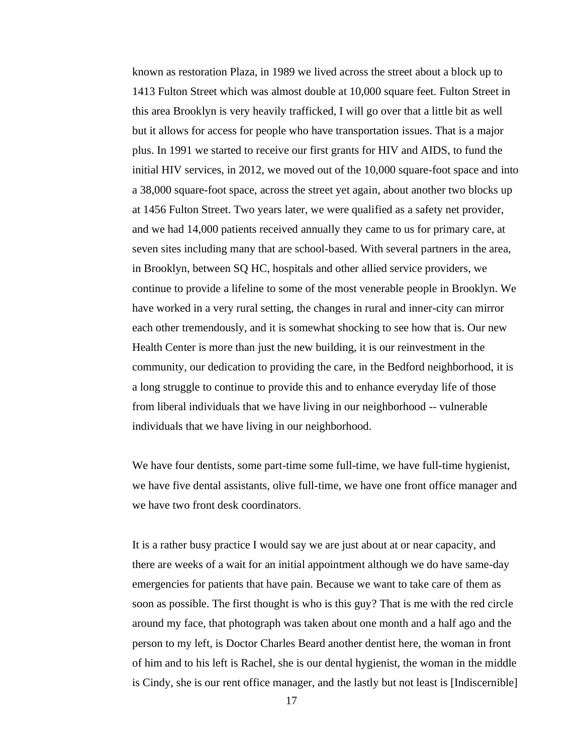known as restoration Plaza, in 1989 we lived across the street about a block up to 1413 Fulton Street which was almost double at 10,000 square feet. Fulton Street in this area Brooklyn is very heavily trafficked, I will go over that a little bit as well but it allows for access for people who have transportation issues. That is a major plus. In 1991 we started to receive our first grants for HIV and AIDS, to fund the initial HIV services, in 2012, we moved out of the 10,000 square-foot space and into a 38,000 square-foot space, across the street yet again, about another two blocks up at 1456 Fulton Street. Two years later, we were qualified as a safety net provider, and we had 14,000 patients received annually they came to us for primary care, at seven sites including many that are school-based. With several partners in the area, in Brooklyn, between SQ HC, hospitals and other allied service providers, we continue to provide a lifeline to some of the most venerable people in Brooklyn. We have worked in a very rural setting, the changes in rural and inner-city can mirror each other tremendously, and it is somewhat shocking to see how that is. Our new Health Center is more than just the new building, it is our reinvestment in the community, our dedication to providing the care, in the Bedford neighborhood, it is a long struggle to continue to provide this and to enhance everyday life of those from liberal individuals that we have living in our neighborhood -- vulnerable individuals that we have living in our neighborhood.

We have four dentists, some part-time some full-time, we have full-time hygienist, we have five dental assistants, olive full-time, we have one front office manager and we have two front desk coordinators.

It is a rather busy practice I would say we are just about at or near capacity, and there are weeks of a wait for an initial appointment although we do have same-day emergencies for patients that have pain. Because we want to take care of them as soon as possible. The first thought is who is this guy? That is me with the red circle around my face, that photograph was taken about one month and a half ago and the person to my left, is Doctor Charles Beard another dentist here, the woman in front of him and to his left is Rachel, she is our dental hygienist, the woman in the middle is Cindy, she is our rent office manager, and the lastly but not least is [Indiscernible]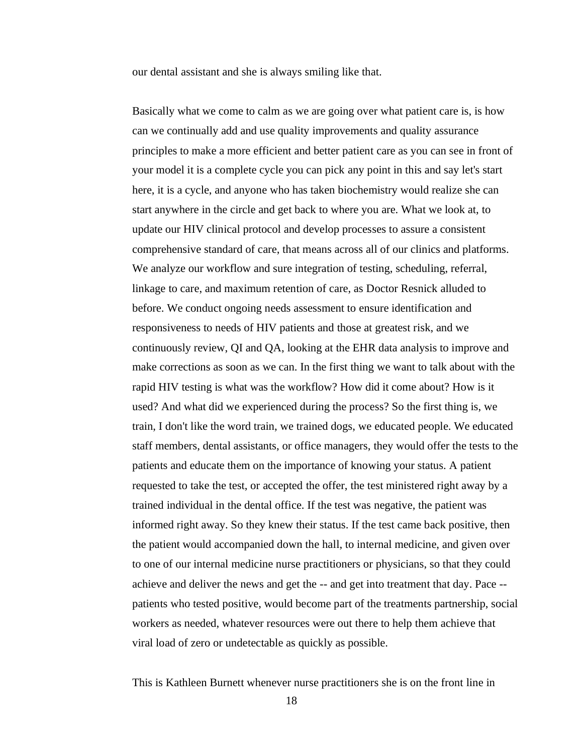our dental assistant and she is always smiling like that.

Basically what we come to calm as we are going over what patient care is, is how can we continually add and use quality improvements and quality assurance principles to make a more efficient and better patient care as you can see in front of your model it is a complete cycle you can pick any point in this and say let's start here, it is a cycle, and anyone who has taken biochemistry would realize she can start anywhere in the circle and get back to where you are. What we look at, to update our HIV clinical protocol and develop processes to assure a consistent comprehensive standard of care, that means across all of our clinics and platforms. We analyze our workflow and sure integration of testing, scheduling, referral, linkage to care, and maximum retention of care, as Doctor Resnick alluded to before. We conduct ongoing needs assessment to ensure identification and responsiveness to needs of HIV patients and those at greatest risk, and we continuously review, QI and QA, looking at the EHR data analysis to improve and make corrections as soon as we can. In the first thing we want to talk about with the rapid HIV testing is what was the workflow? How did it come about? How is it used? And what did we experienced during the process? So the first thing is, we train, I don't like the word train, we trained dogs, we educated people. We educated staff members, dental assistants, or office managers, they would offer the tests to the patients and educate them on the importance of knowing your status. A patient requested to take the test, or accepted the offer, the test ministered right away by a trained individual in the dental office. If the test was negative, the patient was informed right away. So they knew their status. If the test came back positive, then the patient would accompanied down the hall, to internal medicine, and given over to one of our internal medicine nurse practitioners or physicians, so that they could achieve and deliver the news and get the -- and get into treatment that day. Pace - patients who tested positive, would become part of the treatments partnership, social workers as needed, whatever resources were out there to help them achieve that viral load of zero or undetectable as quickly as possible.

This is Kathleen Burnett whenever nurse practitioners she is on the front line in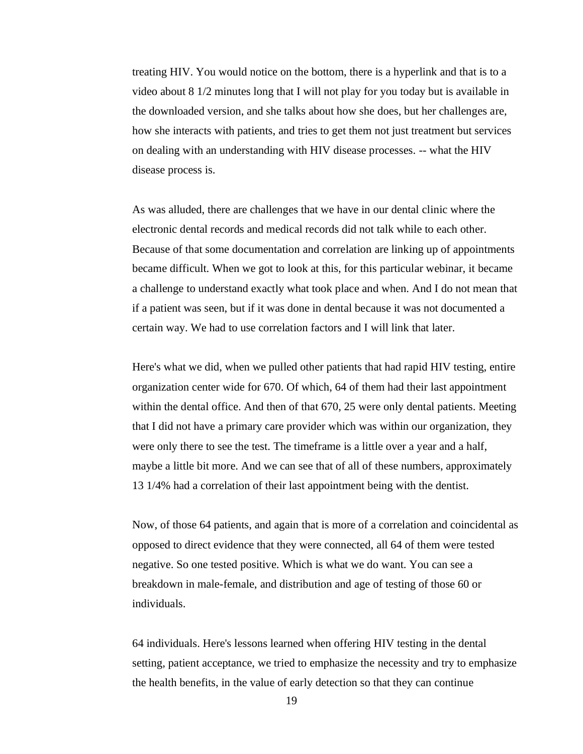treating HIV. You would notice on the bottom, there is a hyperlink and that is to a video about 8 1/2 minutes long that I will not play for you today but is available in the downloaded version, and she talks about how she does, but her challenges are, how she interacts with patients, and tries to get them not just treatment but services on dealing with an understanding with HIV disease processes. -- what the HIV disease process is.

As was alluded, there are challenges that we have in our dental clinic where the electronic dental records and medical records did not talk while to each other. Because of that some documentation and correlation are linking up of appointments became difficult. When we got to look at this, for this particular webinar, it became a challenge to understand exactly what took place and when. And I do not mean that if a patient was seen, but if it was done in dental because it was not documented a certain way. We had to use correlation factors and I will link that later.

Here's what we did, when we pulled other patients that had rapid HIV testing, entire organization center wide for 670. Of which, 64 of them had their last appointment within the dental office. And then of that 670, 25 were only dental patients. Meeting that I did not have a primary care provider which was within our organization, they were only there to see the test. The timeframe is a little over a year and a half, maybe a little bit more. And we can see that of all of these numbers, approximately 13 1/4% had a correlation of their last appointment being with the dentist.

Now, of those 64 patients, and again that is more of a correlation and coincidental as opposed to direct evidence that they were connected, all 64 of them were tested negative. So one tested positive. Which is what we do want. You can see a breakdown in male-female, and distribution and age of testing of those 60 or individuals.

64 individuals. Here's lessons learned when offering HIV testing in the dental setting, patient acceptance, we tried to emphasize the necessity and try to emphasize the health benefits, in the value of early detection so that they can continue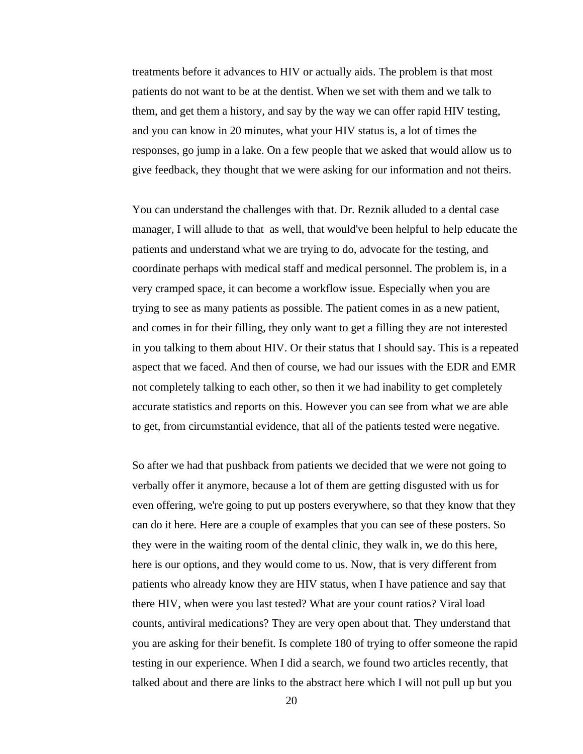treatments before it advances to HIV or actually aids. The problem is that most patients do not want to be at the dentist. When we set with them and we talk to them, and get them a history, and say by the way we can offer rapid HIV testing, and you can know in 20 minutes, what your HIV status is, a lot of times the responses, go jump in a lake. On a few people that we asked that would allow us to give feedback, they thought that we were asking for our information and not theirs.

You can understand the challenges with that. Dr. Reznik alluded to a dental case manager, I will allude to that as well, that would've been helpful to help educate the patients and understand what we are trying to do, advocate for the testing, and coordinate perhaps with medical staff and medical personnel. The problem is, in a very cramped space, it can become a workflow issue. Especially when you are trying to see as many patients as possible. The patient comes in as a new patient, and comes in for their filling, they only want to get a filling they are not interested in you talking to them about HIV. Or their status that I should say. This is a repeated aspect that we faced. And then of course, we had our issues with the EDR and EMR not completely talking to each other, so then it we had inability to get completely accurate statistics and reports on this. However you can see from what we are able to get, from circumstantial evidence, that all of the patients tested were negative.

So after we had that pushback from patients we decided that we were not going to verbally offer it anymore, because a lot of them are getting disgusted with us for even offering, we're going to put up posters everywhere, so that they know that they can do it here. Here are a couple of examples that you can see of these posters. So they were in the waiting room of the dental clinic, they walk in, we do this here, here is our options, and they would come to us. Now, that is very different from patients who already know they are HIV status, when I have patience and say that there HIV, when were you last tested? What are your count ratios? Viral load counts, antiviral medications? They are very open about that. They understand that you are asking for their benefit. Is complete 180 of trying to offer someone the rapid testing in our experience. When I did a search, we found two articles recently, that talked about and there are links to the abstract here which I will not pull up but you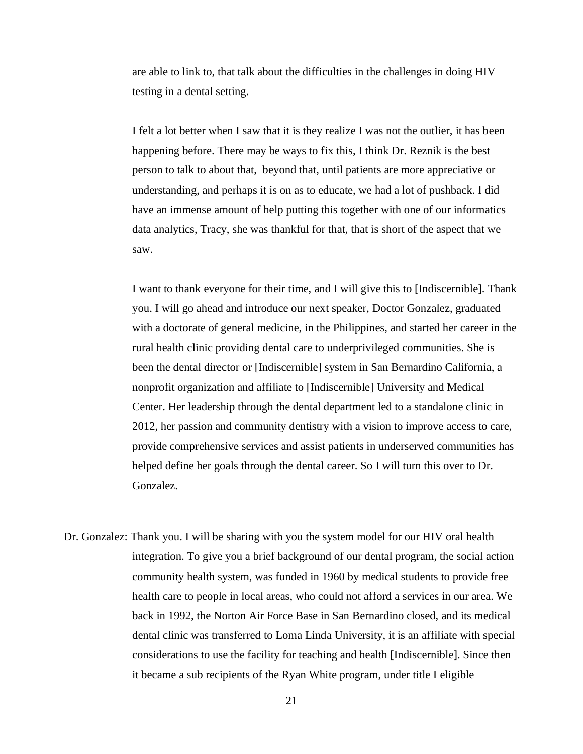are able to link to, that talk about the difficulties in the challenges in doing HIV testing in a dental setting.

I felt a lot better when I saw that it is they realize I was not the outlier, it has been happening before. There may be ways to fix this, I think Dr. Reznik is the best person to talk to about that, beyond that, until patients are more appreciative or understanding, and perhaps it is on as to educate, we had a lot of pushback. I did have an immense amount of help putting this together with one of our informatics data analytics, Tracy, she was thankful for that, that is short of the aspect that we saw.

I want to thank everyone for their time, and I will give this to [Indiscernible]. Thank you. I will go ahead and introduce our next speaker, Doctor Gonzalez, graduated with a doctorate of general medicine, in the Philippines, and started her career in the rural health clinic providing dental care to underprivileged communities. She is been the dental director or [Indiscernible] system in San Bernardino California, a nonprofit organization and affiliate to [Indiscernible] University and Medical Center. Her leadership through the dental department led to a standalone clinic in 2012, her passion and community dentistry with a vision to improve access to care, provide comprehensive services and assist patients in underserved communities has helped define her goals through the dental career. So I will turn this over to Dr. Gonzalez.

Dr. Gonzalez: Thank you. I will be sharing with you the system model for our HIV oral health integration. To give you a brief background of our dental program, the social action community health system, was funded in 1960 by medical students to provide free health care to people in local areas, who could not afford a services in our area. We back in 1992, the Norton Air Force Base in San Bernardino closed, and its medical dental clinic was transferred to Loma Linda University, it is an affiliate with special considerations to use the facility for teaching and health [Indiscernible]. Since then it became a sub recipients of the Ryan White program, under title I eligible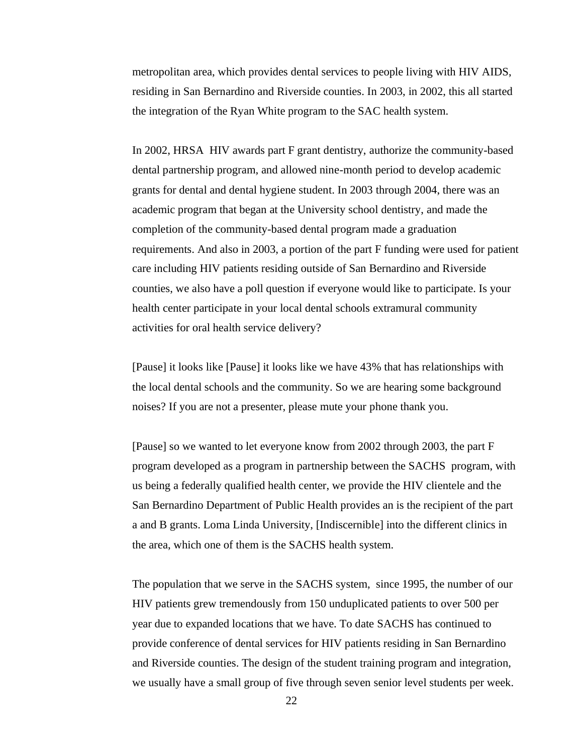metropolitan area, which provides dental services to people living with HIV AIDS, residing in San Bernardino and Riverside counties. In 2003, in 2002, this all started the integration of the Ryan White program to the SAC health system.

In 2002, HRSA HIV awards part F grant dentistry, authorize the community-based dental partnership program, and allowed nine-month period to develop academic grants for dental and dental hygiene student. In 2003 through 2004, there was an academic program that began at the University school dentistry, and made the completion of the community-based dental program made a graduation requirements. And also in 2003, a portion of the part F funding were used for patient care including HIV patients residing outside of San Bernardino and Riverside counties, we also have a poll question if everyone would like to participate. Is your health center participate in your local dental schools extramural community activities for oral health service delivery?

[Pause] it looks like [Pause] it looks like we have 43% that has relationships with the local dental schools and the community. So we are hearing some background noises? If you are not a presenter, please mute your phone thank you.

[Pause] so we wanted to let everyone know from 2002 through 2003, the part F program developed as a program in partnership between the SACHS program, with us being a federally qualified health center, we provide the HIV clientele and the San Bernardino Department of Public Health provides an is the recipient of the part a and B grants. Loma Linda University, [Indiscernible] into the different clinics in the area, which one of them is the SACHS health system.

The population that we serve in the SACHS system, since 1995, the number of our HIV patients grew tremendously from 150 unduplicated patients to over 500 per year due to expanded locations that we have. To date SACHS has continued to provide conference of dental services for HIV patients residing in San Bernardino and Riverside counties. The design of the student training program and integration, we usually have a small group of five through seven senior level students per week.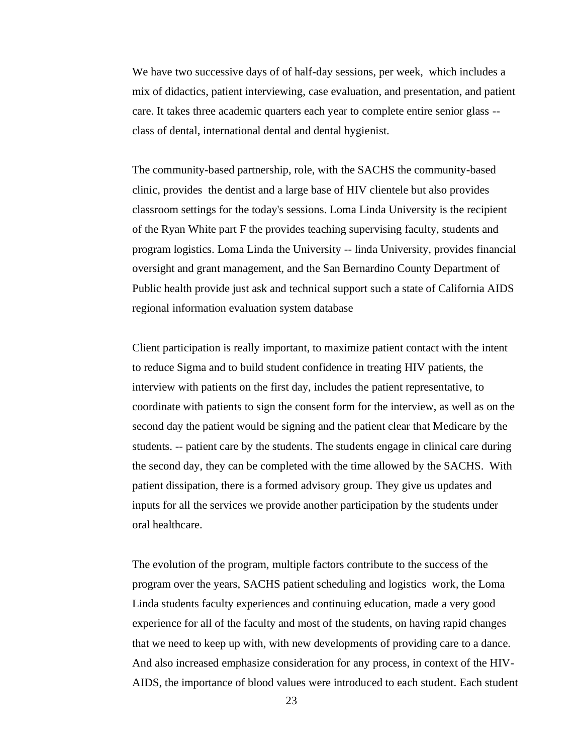We have two successive days of of half-day sessions, per week, which includes a mix of didactics, patient interviewing, case evaluation, and presentation, and patient care. It takes three academic quarters each year to complete entire senior glass - class of dental, international dental and dental hygienist.

The community-based partnership, role, with the SACHS the community-based clinic, provides the dentist and a large base of HIV clientele but also provides classroom settings for the today's sessions. Loma Linda University is the recipient of the Ryan White part F the provides teaching supervising faculty, students and program logistics. Loma Linda the University -- linda University, provides financial oversight and grant management, and the San Bernardino County Department of Public health provide just ask and technical support such a state of California AIDS regional information evaluation system database

Client participation is really important, to maximize patient contact with the intent to reduce Sigma and to build student confidence in treating HIV patients, the interview with patients on the first day, includes the patient representative, to coordinate with patients to sign the consent form for the interview, as well as on the second day the patient would be signing and the patient clear that Medicare by the students. -- patient care by the students. The students engage in clinical care during the second day, they can be completed with the time allowed by the SACHS. With patient dissipation, there is a formed advisory group. They give us updates and inputs for all the services we provide another participation by the students under oral healthcare.

The evolution of the program, multiple factors contribute to the success of the program over the years, SACHS patient scheduling and logistics work, the Loma Linda students faculty experiences and continuing education, made a very good experience for all of the faculty and most of the students, on having rapid changes that we need to keep up with, with new developments of providing care to a dance. And also increased emphasize consideration for any process, in context of the HIV-AIDS, the importance of blood values were introduced to each student. Each student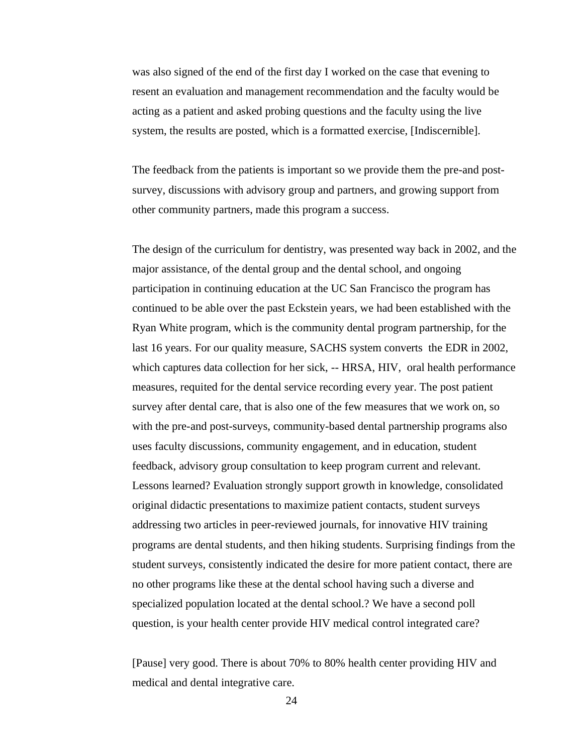was also signed of the end of the first day I worked on the case that evening to resent an evaluation and management recommendation and the faculty would be acting as a patient and asked probing questions and the faculty using the live system, the results are posted, which is a formatted exercise, [Indiscernible].

The feedback from the patients is important so we provide them the pre-and postsurvey, discussions with advisory group and partners, and growing support from other community partners, made this program a success.

The design of the curriculum for dentistry, was presented way back in 2002, and the major assistance, of the dental group and the dental school, and ongoing participation in continuing education at the UC San Francisco the program has continued to be able over the past Eckstein years, we had been established with the Ryan White program, which is the community dental program partnership, for the last 16 years. For our quality measure, SACHS system converts the EDR in 2002, which captures data collection for her sick,  $-$  HRSA, HIV, oral health performance measures, requited for the dental service recording every year. The post patient survey after dental care, that is also one of the few measures that we work on, so with the pre-and post-surveys, community-based dental partnership programs also uses faculty discussions, community engagement, and in education, student feedback, advisory group consultation to keep program current and relevant. Lessons learned? Evaluation strongly support growth in knowledge, consolidated original didactic presentations to maximize patient contacts, student surveys addressing two articles in peer-reviewed journals, for innovative HIV training programs are dental students, and then hiking students. Surprising findings from the student surveys, consistently indicated the desire for more patient contact, there are no other programs like these at the dental school having such a diverse and specialized population located at the dental school.? We have a second poll question, is your health center provide HIV medical control integrated care?

[Pause] very good. There is about 70% to 80% health center providing HIV and medical and dental integrative care.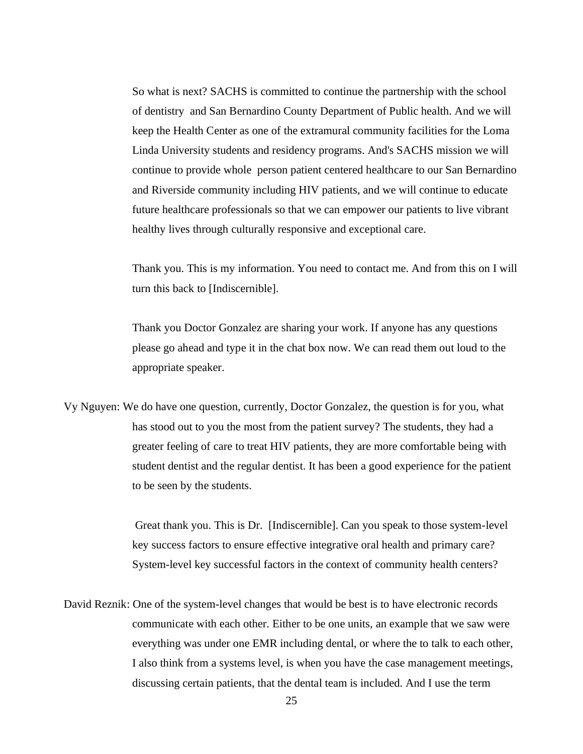So what is next? SACHS is committed to continue the partnership with the school of dentistry and San Bernardino County Department of Public health. And we will keep the Health Center as one of the extramural community facilities for the Loma Linda University students and residency programs. And's SACHS mission we will continue to provide whole person patient centered healthcare to our San Bernardino and Riverside community including HIV patients, and we will continue to educate future healthcare professionals so that we can empower our patients to live vibrant healthy lives through culturally responsive and exceptional care.

Thank you. This is my information. You need to contact me. And from this on I will turn this back to [Indiscernible].

Thank you Doctor Gonzalez are sharing your work. If anyone has any questions please go ahead and type it in the chat box now. We can read them out loud to the appropriate speaker.

Vy Nguyen: We do have one question, currently, Doctor Gonzalez, the question is for you, what has stood out to you the most from the patient survey? The students, they had a greater feeling of care to treat HIV patients, they are more comfortable being with student dentist and the regular dentist. It has been a good experience for the patient to be seen by the students.

> Great thank you. This is Dr. [Indiscernible]. Can you speak to those system-level key success factors to ensure effective integrative oral health and primary care? System-level key successful factors in the context of community health centers?

David Reznik: One of the system-level changes that would be best is to have electronic records communicate with each other. Either to be one units, an example that we saw were everything was under one EMR including dental, or where the to talk to each other, I also think from a systems level, is when you have the case management meetings, discussing certain patients, that the dental team is included. And I use the term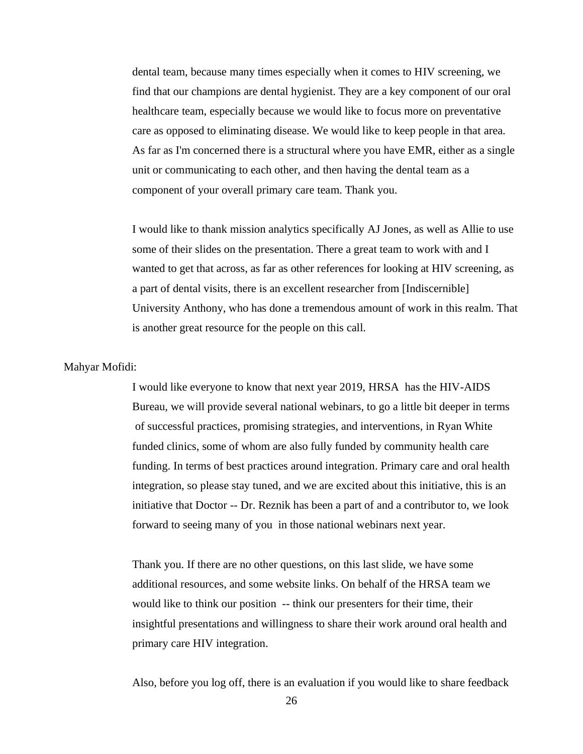dental team, because many times especially when it comes to HIV screening, we find that our champions are dental hygienist. They are a key component of our oral healthcare team, especially because we would like to focus more on preventative care as opposed to eliminating disease. We would like to keep people in that area. As far as I'm concerned there is a structural where you have EMR, either as a single unit or communicating to each other, and then having the dental team as a component of your overall primary care team. Thank you.

I would like to thank mission analytics specifically AJ Jones, as well as Allie to use some of their slides on the presentation. There a great team to work with and I wanted to get that across, as far as other references for looking at HIV screening, as a part of dental visits, there is an excellent researcher from [Indiscernible] University Anthony, who has done a tremendous amount of work in this realm. That is another great resource for the people on this call.

## Mahyar Mofidi:

I would like everyone to know that next year 2019, HRSA has the HIV-AIDS Bureau, we will provide several national webinars, to go a little bit deeper in terms of successful practices, promising strategies, and interventions, in Ryan White funded clinics, some of whom are also fully funded by community health care funding. In terms of best practices around integration. Primary care and oral health integration, so please stay tuned, and we are excited about this initiative, this is an initiative that Doctor -- Dr. Reznik has been a part of and a contributor to, we look forward to seeing many of you in those national webinars next year.

Thank you. If there are no other questions, on this last slide, we have some additional resources, and some website links. On behalf of the HRSA team we would like to think our position -- think our presenters for their time, their insightful presentations and willingness to share their work around oral health and primary care HIV integration.

Also, before you log off, there is an evaluation if you would like to share feedback